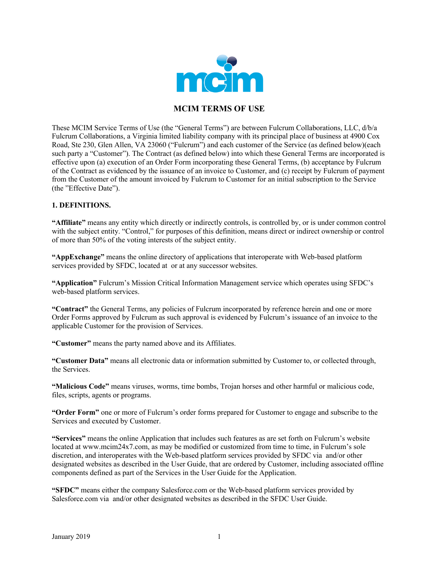

# **MCIM TERMS OF USE**

These MCIM Service Terms of Use (the "General Terms") are between Fulcrum Collaborations, LLC, d/b/a Fulcrum Collaborations, a Virginia limited liability company with its principal place of business at 4900 Cox Road, Ste 230, Glen Allen, VA 23060 ("Fulcrum") and each customer of the Service (as defined below)(each such party a "Customer"). The Contract (as defined below) into which these General Terms are incorporated is effective upon (a) execution of an Order Form incorporating these General Terms, (b) acceptance by Fulcrum of the Contract as evidenced by the issuance of an invoice to Customer, and (c) receipt by Fulcrum of payment from the Customer of the amount invoiced by Fulcrum to Customer for an initial subscription to the Service (the "Effective Date").

## **1. DEFINITIONS.**

**"Affiliate"** means any entity which directly or indirectly controls, is controlled by, or is under common control with the subject entity. "Control," for purposes of this definition, means direct or indirect ownership or control of more than 50% of the voting interests of the subject entity.

**"AppExchange"** means the online directory of applications that interoperate with Web-based platform services provided by SFDC, located at or at any successor websites.

**"Application"** Fulcrum's Mission Critical Information Management service which operates using SFDC's web-based platform services.

**"Contract"** the General Terms, any policies of Fulcrum incorporated by reference herein and one or more Order Forms approved by Fulcrum as such approval is evidenced by Fulcrum's issuance of an invoice to the applicable Customer for the provision of Services.

**"Customer"** means the party named above and its Affiliates.

**"Customer Data"** means all electronic data or information submitted by Customer to, or collected through, the Services.

**"Malicious Code"** means viruses, worms, time bombs, Trojan horses and other harmful or malicious code, files, scripts, agents or programs.

**"Order Form"** one or more of Fulcrum's order forms prepared for Customer to engage and subscribe to the Services and executed by Customer.

**"Services"** means the online Application that includes such features as are set forth on Fulcrum's website located at www.mcim24x7.com, as may be modified or customized from time to time, in Fulcrum's sole discretion, and interoperates with the Web-based platform services provided by SFDC via and/or other designated websites as described in the User Guide, that are ordered by Customer, including associated offline components defined as part of the Services in the User Guide for the Application.

**"SFDC"** means either the company Salesforce.com or the Web-based platform services provided by Salesforce.com via and/or other designated websites as described in the SFDC User Guide.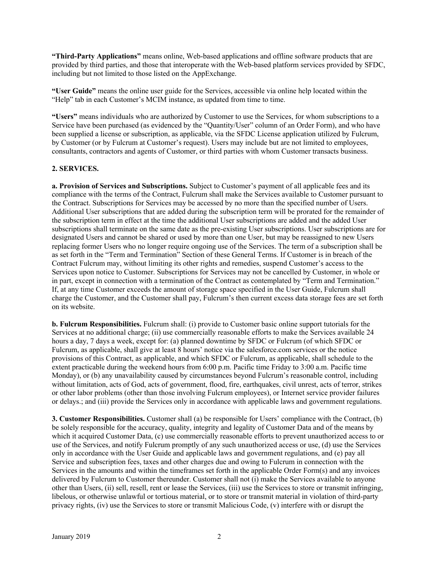**"Third-Party Applications"** means online, Web-based applications and offline software products that are provided by third parties, and those that interoperate with the Web-based platform services provided by SFDC, including but not limited to those listed on the AppExchange.

**"User Guide"** means the online user guide for the Services, accessible via online help located within the "Help" tab in each Customer's MCIM instance, as updated from time to time.

**"Users"** means individuals who are authorized by Customer to use the Services, for whom subscriptions to a Service have been purchased (as evidenced by the "Quantity/User" column of an Order Form), and who have been supplied a license or subscription, as applicable, via the SFDC License application utilized by Fulcrum, by Customer (or by Fulcrum at Customer's request). Users may include but are not limited to employees, consultants, contractors and agents of Customer, or third parties with whom Customer transacts business.

## **2. SERVICES.**

**a. Provision of Services and Subscriptions.** Subject to Customer's payment of all applicable fees and its compliance with the terms of the Contract, Fulcrum shall make the Services available to Customer pursuant to the Contract. Subscriptions for Services may be accessed by no more than the specified number of Users. Additional User subscriptions that are added during the subscription term will be prorated for the remainder of the subscription term in effect at the time the additional User subscriptions are added and the added User subscriptions shall terminate on the same date as the pre-existing User subscriptions. User subscriptions are for designated Users and cannot be shared or used by more than one User, but may be reassigned to new Users replacing former Users who no longer require ongoing use of the Services. The term of a subscription shall be as set forth in the "Term and Termination" Section of these General Terms. If Customer is in breach of the Contract Fulcrum may, without limiting its other rights and remedies, suspend Customer's access to the Services upon notice to Customer. Subscriptions for Services may not be cancelled by Customer, in whole or in part, except in connection with a termination of the Contract as contemplated by "Term and Termination." If, at any time Customer exceeds the amount of storage space specified in the User Guide, Fulcrum shall charge the Customer, and the Customer shall pay, Fulcrum's then current excess data storage fees are set forth on its website.

**b. Fulcrum Responsibilities.** Fulcrum shall: (i) provide to Customer basic online support tutorials for the Services at no additional charge; (ii) use commercially reasonable efforts to make the Services available 24 hours a day, 7 days a week, except for: (a) planned downtime by SFDC or Fulcrum (of which SFDC or Fulcrum, as applicable, shall give at least 8 hours' notice via the salesforce.com services or the notice provisions of this Contract, as applicable, and which SFDC or Fulcrum, as applicable, shall schedule to the extent practicable during the weekend hours from 6:00 p.m. Pacific time Friday to 3:00 a.m. Pacific time Monday), or (b) any unavailability caused by circumstances beyond Fulcrum's reasonable control, including without limitation, acts of God, acts of government, flood, fire, earthquakes, civil unrest, acts of terror, strikes or other labor problems (other than those involving Fulcrum employees), or Internet service provider failures or delays.; and (iii) provide the Services only in accordance with applicable laws and government regulations.

**3. Customer Responsibilities.** Customer shall (a) be responsible for Users' compliance with the Contract, (b) be solely responsible for the accuracy, quality, integrity and legality of Customer Data and of the means by which it acquired Customer Data, (c) use commercially reasonable efforts to prevent unauthorized access to or use of the Services, and notify Fulcrum promptly of any such unauthorized access or use, (d) use the Services only in accordance with the User Guide and applicable laws and government regulations, and (e) pay all Service and subscription fees, taxes and other charges due and owing to Fulcrum in connection with the Services in the amounts and within the timeframes set forth in the applicable Order Form(s) and any invoices delivered by Fulcrum to Customer thereunder. Customer shall not (i) make the Services available to anyone other than Users, (ii) sell, resell, rent or lease the Services, (iii) use the Services to store or transmit infringing, libelous, or otherwise unlawful or tortious material, or to store or transmit material in violation of third-party privacy rights, (iv) use the Services to store or transmit Malicious Code, (v) interfere with or disrupt the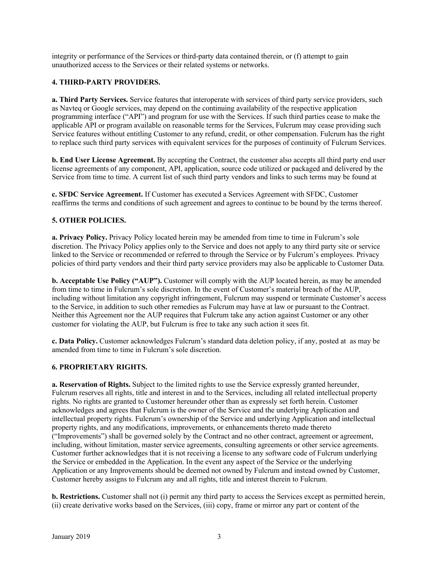integrity or performance of the Services or third-party data contained therein, or (f) attempt to gain unauthorized access to the Services or their related systems or networks.

## **4. THIRD-PARTY PROVIDERS.**

**a. Third Party Services.** Service features that interoperate with services of third party service providers, such as Navteq or Google services, may depend on the continuing availability of the respective application programming interface ("API") and program for use with the Services. If such third parties cease to make the applicable API or program available on reasonable terms for the Services, Fulcrum may cease providing such Service features without entitling Customer to any refund, credit, or other compensation. Fulcrum has the right to replace such third party services with equivalent services for the purposes of continuity of Fulcrum Services.

**b. End User License Agreement.** By accepting the Contract, the customer also accepts all third party end user license agreements of any component, API, application, source code utilized or packaged and delivered by the Service from time to time. A current list of such third party vendors and links to such terms may be found at

**c. SFDC Service Agreement.** If Customer has executed a Services Agreement with SFDC, Customer reaffirms the terms and conditions of such agreement and agrees to continue to be bound by the terms thereof.

# **5. OTHER POLICIES.**

**a. Privacy Policy.** Privacy Policy located herein may be amended from time to time in Fulcrum's sole discretion. The Privacy Policy applies only to the Service and does not apply to any third party site or service linked to the Service or recommended or referred to through the Service or by Fulcrum's employees. Privacy policies of third party vendors and their third party service providers may also be applicable to Customer Data.

**b. Acceptable Use Policy ("AUP").** Customer will comply with the AUP located herein, as may be amended from time to time in Fulcrum's sole discretion. In the event of Customer's material breach of the AUP, including without limitation any copyright infringement, Fulcrum may suspend or terminate Customer's access to the Service, in addition to such other remedies as Fulcrum may have at law or pursuant to the Contract. Neither this Agreement nor the AUP requires that Fulcrum take any action against Customer or any other customer for violating the AUP, but Fulcrum is free to take any such action it sees fit.

**c. Data Policy.** Customer acknowledges Fulcrum's standard data deletion policy, if any, posted at as may be amended from time to time in Fulcrum's sole discretion.

### **6. PROPRIETARY RIGHTS.**

**a. Reservation of Rights.** Subject to the limited rights to use the Service expressly granted hereunder, Fulcrum reserves all rights, title and interest in and to the Services, including all related intellectual property rights. No rights are granted to Customer hereunder other than as expressly set forth herein. Customer acknowledges and agrees that Fulcrum is the owner of the Service and the underlying Application and intellectual property rights. Fulcrum's ownership of the Service and underlying Application and intellectual property rights, and any modifications, improvements, or enhancements thereto made thereto ("Improvements") shall be governed solely by the Contract and no other contract, agreement or agreement, including, without limitation, master service agreements, consulting agreements or other service agreements. Customer further acknowledges that it is not receiving a license to any software code of Fulcrum underlying the Service or embedded in the Application. In the event any aspect of the Service or the underlying Application or any Improvements should be deemed not owned by Fulcrum and instead owned by Customer, Customer hereby assigns to Fulcrum any and all rights, title and interest therein to Fulcrum.

**b. Restrictions.** Customer shall not (i) permit any third party to access the Services except as permitted herein, (ii) create derivative works based on the Services, (iii) copy, frame or mirror any part or content of the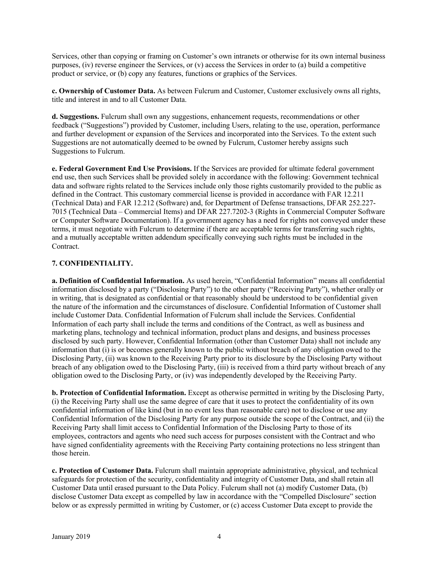Services, other than copying or framing on Customer's own intranets or otherwise for its own internal business purposes, (iv) reverse engineer the Services, or  $(v)$  access the Services in order to (a) build a competitive product or service, or (b) copy any features, functions or graphics of the Services.

**c. Ownership of Customer Data.** As between Fulcrum and Customer, Customer exclusively owns all rights, title and interest in and to all Customer Data.

**d. Suggestions.** Fulcrum shall own any suggestions, enhancement requests, recommendations or other feedback ("Suggestions") provided by Customer, including Users, relating to the use, operation, performance and further development or expansion of the Services and incorporated into the Services. To the extent such Suggestions are not automatically deemed to be owned by Fulcrum, Customer hereby assigns such Suggestions to Fulcrum.

**e. Federal Government End Use Provisions.** If the Services are provided for ultimate federal government end use, then such Services shall be provided solely in accordance with the following: Government technical data and software rights related to the Services include only those rights customarily provided to the public as defined in the Contract. This customary commercial license is provided in accordance with FAR 12.211 (Technical Data) and FAR 12.212 (Software) and, for Department of Defense transactions, DFAR 252.227- 7015 (Technical Data – Commercial Items) and DFAR 227.7202-3 (Rights in Commercial Computer Software or Computer Software Documentation). If a government agency has a need for rights not conveyed under these terms, it must negotiate with Fulcrum to determine if there are acceptable terms for transferring such rights, and a mutually acceptable written addendum specifically conveying such rights must be included in the Contract.

# **7. CONFIDENTIALITY.**

**a. Definition of Confidential Information.** As used herein, "Confidential Information" means all confidential information disclosed by a party ("Disclosing Party") to the other party ("Receiving Party"), whether orally or in writing, that is designated as confidential or that reasonably should be understood to be confidential given the nature of the information and the circumstances of disclosure. Confidential Information of Customer shall include Customer Data. Confidential Information of Fulcrum shall include the Services. Confidential Information of each party shall include the terms and conditions of the Contract, as well as business and marketing plans, technology and technical information, product plans and designs, and business processes disclosed by such party. However, Confidential Information (other than Customer Data) shall not include any information that (i) is or becomes generally known to the public without breach of any obligation owed to the Disclosing Party, (ii) was known to the Receiving Party prior to its disclosure by the Disclosing Party without breach of any obligation owed to the Disclosing Party, (iii) is received from a third party without breach of any obligation owed to the Disclosing Party, or (iv) was independently developed by the Receiving Party.

**b. Protection of Confidential Information.** Except as otherwise permitted in writing by the Disclosing Party, (i) the Receiving Party shall use the same degree of care that it uses to protect the confidentiality of its own confidential information of like kind (but in no event less than reasonable care) not to disclose or use any Confidential Information of the Disclosing Party for any purpose outside the scope of the Contract, and (ii) the Receiving Party shall limit access to Confidential Information of the Disclosing Party to those of its employees, contractors and agents who need such access for purposes consistent with the Contract and who have signed confidentiality agreements with the Receiving Party containing protections no less stringent than those herein.

**c. Protection of Customer Data.** Fulcrum shall maintain appropriate administrative, physical, and technical safeguards for protection of the security, confidentiality and integrity of Customer Data, and shall retain all Customer Data until erased pursuant to the Data Policy. Fulcrum shall not (a) modify Customer Data, (b) disclose Customer Data except as compelled by law in accordance with the "Compelled Disclosure" section below or as expressly permitted in writing by Customer, or (c) access Customer Data except to provide the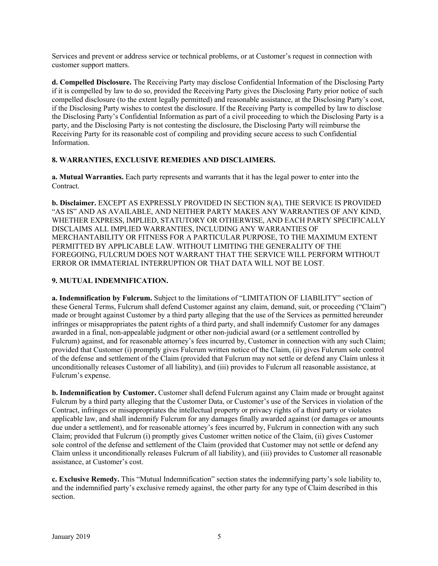Services and prevent or address service or technical problems, or at Customer's request in connection with customer support matters.

**d. Compelled Disclosure.** The Receiving Party may disclose Confidential Information of the Disclosing Party if it is compelled by law to do so, provided the Receiving Party gives the Disclosing Party prior notice of such compelled disclosure (to the extent legally permitted) and reasonable assistance, at the Disclosing Party's cost, if the Disclosing Party wishes to contest the disclosure. If the Receiving Party is compelled by law to disclose the Disclosing Party's Confidential Information as part of a civil proceeding to which the Disclosing Party is a party, and the Disclosing Party is not contesting the disclosure, the Disclosing Party will reimburse the Receiving Party for its reasonable cost of compiling and providing secure access to such Confidential Information.

## **8. WARRANTIES, EXCLUSIVE REMEDIES AND DISCLAIMERS.**

**a. Mutual Warranties.** Each party represents and warrants that it has the legal power to enter into the Contract.

**b. Disclaimer.** EXCEPT AS EXPRESSLY PROVIDED IN SECTION 8(A), THE SERVICE IS PROVIDED "AS IS" AND AS AVAILABLE, AND NEITHER PARTY MAKES ANY WARRANTIES OF ANY KIND, WHETHER EXPRESS, IMPLIED, STATUTORY OR OTHERWISE, AND EACH PARTY SPECIFICALLY DISCLAIMS ALL IMPLIED WARRANTIES, INCLUDING ANY WARRANTIES OF MERCHANTABILITY OR FITNESS FOR A PARTICULAR PURPOSE, TO THE MAXIMUM EXTENT PERMITTED BY APPLICABLE LAW. WITHOUT LIMITING THE GENERALITY OF THE FOREGOING, FULCRUM DOES NOT WARRANT THAT THE SERVICE WILL PERFORM WITHOUT ERROR OR IMMATERIAL INTERRUPTION OR THAT DATA WILL NOT BE LOST.

# **9. MUTUAL INDEMNIFICATION.**

**a. Indemnification by Fulcrum.** Subject to the limitations of "LIMITATION OF LIABILITY" section of these General Terms, Fulcrum shall defend Customer against any claim, demand, suit, or proceeding ("Claim") made or brought against Customer by a third party alleging that the use of the Services as permitted hereunder infringes or misappropriates the patent rights of a third party, and shall indemnify Customer for any damages awarded in a final, non-appealable judgment or other non-judicial award (or a settlement controlled by Fulcrum) against, and for reasonable attorney's fees incurred by, Customer in connection with any such Claim; provided that Customer (i) promptly gives Fulcrum written notice of the Claim, (ii) gives Fulcrum sole control of the defense and settlement of the Claim (provided that Fulcrum may not settle or defend any Claim unless it unconditionally releases Customer of all liability), and (iii) provides to Fulcrum all reasonable assistance, at Fulcrum's expense.

**b. Indemnification by Customer.** Customer shall defend Fulcrum against any Claim made or brought against Fulcrum by a third party alleging that the Customer Data, or Customer's use of the Services in violation of the Contract, infringes or misappropriates the intellectual property or privacy rights of a third party or violates applicable law, and shall indemnify Fulcrum for any damages finally awarded against (or damages or amounts due under a settlement), and for reasonable attorney's fees incurred by, Fulcrum in connection with any such Claim; provided that Fulcrum (i) promptly gives Customer written notice of the Claim, (ii) gives Customer sole control of the defense and settlement of the Claim (provided that Customer may not settle or defend any Claim unless it unconditionally releases Fulcrum of all liability), and (iii) provides to Customer all reasonable assistance, at Customer's cost.

**c. Exclusive Remedy.** This "Mutual Indemnification" section states the indemnifying party's sole liability to, and the indemnified party's exclusive remedy against, the other party for any type of Claim described in this section.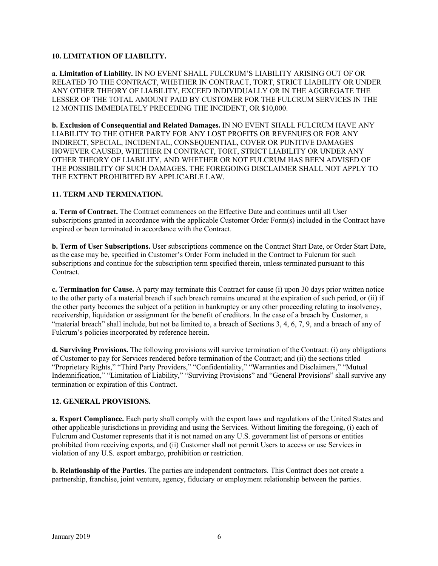## **10. LIMITATION OF LIABILITY.**

**a. Limitation of Liability.** IN NO EVENT SHALL FULCRUM'S LIABILITY ARISING OUT OF OR RELATED TO THE CONTRACT, WHETHER IN CONTRACT, TORT, STRICT LIABILITY OR UNDER ANY OTHER THEORY OF LIABILITY, EXCEED INDIVIDUALLY OR IN THE AGGREGATE THE LESSER OF THE TOTAL AMOUNT PAID BY CUSTOMER FOR THE FULCRUM SERVICES IN THE 12 MONTHS IMMEDIATELY PRECEDING THE INCIDENT, OR \$10,000.

**b. Exclusion of Consequential and Related Damages.** IN NO EVENT SHALL FULCRUM HAVE ANY LIABILITY TO THE OTHER PARTY FOR ANY LOST PROFITS OR REVENUES OR FOR ANY INDIRECT, SPECIAL, INCIDENTAL, CONSEQUENTIAL, COVER OR PUNITIVE DAMAGES HOWEVER CAUSED, WHETHER IN CONTRACT, TORT, STRICT LIABILITY OR UNDER ANY OTHER THEORY OF LIABILITY, AND WHETHER OR NOT FULCRUM HAS BEEN ADVISED OF THE POSSIBILITY OF SUCH DAMAGES. THE FOREGOING DISCLAIMER SHALL NOT APPLY TO THE EXTENT PROHIBITED BY APPLICABLE LAW.

# **11. TERM AND TERMINATION.**

**a. Term of Contract.** The Contract commences on the Effective Date and continues until all User subscriptions granted in accordance with the applicable Customer Order Form(s) included in the Contract have expired or been terminated in accordance with the Contract.

**b. Term of User Subscriptions.** User subscriptions commence on the Contract Start Date, or Order Start Date, as the case may be, specified in Customer's Order Form included in the Contract to Fulcrum for such subscriptions and continue for the subscription term specified therein, unless terminated pursuant to this Contract.

**c. Termination for Cause.** A party may terminate this Contract for cause (i) upon 30 days prior written notice to the other party of a material breach if such breach remains uncured at the expiration of such period, or (ii) if the other party becomes the subject of a petition in bankruptcy or any other proceeding relating to insolvency, receivership, liquidation or assignment for the benefit of creditors. In the case of a breach by Customer, a "material breach" shall include, but not be limited to, a breach of Sections 3, 4, 6, 7, 9, and a breach of any of Fulcrum's policies incorporated by reference herein.

**d. Surviving Provisions.** The following provisions will survive termination of the Contract: (i) any obligations of Customer to pay for Services rendered before termination of the Contract; and (ii) the sections titled "Proprietary Rights," "Third Party Providers," "Confidentiality," "Warranties and Disclaimers," "Mutual Indemnification," "Limitation of Liability," "Surviving Provisions" and "General Provisions" shall survive any termination or expiration of this Contract.

# **12. GENERAL PROVISIONS.**

**a. Export Compliance.** Each party shall comply with the export laws and regulations of the United States and other applicable jurisdictions in providing and using the Services. Without limiting the foregoing, (i) each of Fulcrum and Customer represents that it is not named on any U.S. government list of persons or entities prohibited from receiving exports, and (ii) Customer shall not permit Users to access or use Services in violation of any U.S. export embargo, prohibition or restriction.

**b. Relationship of the Parties.** The parties are independent contractors. This Contract does not create a partnership, franchise, joint venture, agency, fiduciary or employment relationship between the parties.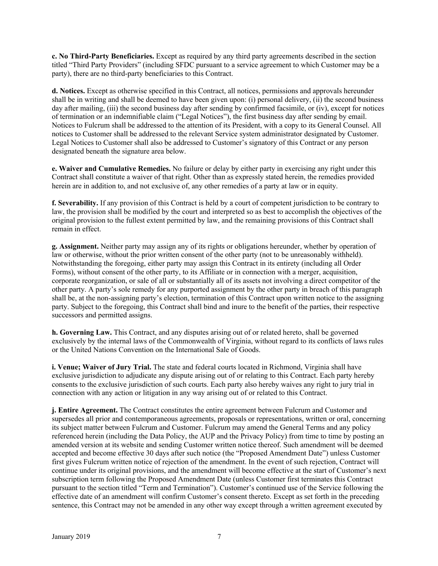**c. No Third-Party Beneficiaries.** Except as required by any third party agreements described in the section titled "Third Party Providers" (including SFDC pursuant to a service agreement to which Customer may be a party), there are no third-party beneficiaries to this Contract.

**d. Notices.** Except as otherwise specified in this Contract, all notices, permissions and approvals hereunder shall be in writing and shall be deemed to have been given upon: (i) personal delivery, (ii) the second business day after mailing, (iii) the second business day after sending by confirmed facsimile, or (iv), except for notices of termination or an indemnifiable claim ("Legal Notices"), the first business day after sending by email. Notices to Fulcrum shall be addressed to the attention of its President, with a copy to its General Counsel. All notices to Customer shall be addressed to the relevant Service system administrator designated by Customer. Legal Notices to Customer shall also be addressed to Customer's signatory of this Contract or any person designated beneath the signature area below.

**e. Waiver and Cumulative Remedies.** No failure or delay by either party in exercising any right under this Contract shall constitute a waiver of that right. Other than as expressly stated herein, the remedies provided herein are in addition to, and not exclusive of, any other remedies of a party at law or in equity.

**f. Severability.** If any provision of this Contract is held by a court of competent jurisdiction to be contrary to law, the provision shall be modified by the court and interpreted so as best to accomplish the objectives of the original provision to the fullest extent permitted by law, and the remaining provisions of this Contract shall remain in effect.

**g. Assignment.** Neither party may assign any of its rights or obligations hereunder, whether by operation of law or otherwise, without the prior written consent of the other party (not to be unreasonably withheld). Notwithstanding the foregoing, either party may assign this Contract in its entirety (including all Order Forms), without consent of the other party, to its Affiliate or in connection with a merger, acquisition, corporate reorganization, or sale of all or substantially all of its assets not involving a direct competitor of the other party. A party's sole remedy for any purported assignment by the other party in breach of this paragraph shall be, at the non-assigning party's election, termination of this Contract upon written notice to the assigning party. Subject to the foregoing, this Contract shall bind and inure to the benefit of the parties, their respective successors and permitted assigns.

**h. Governing Law.** This Contract, and any disputes arising out of or related hereto, shall be governed exclusively by the internal laws of the Commonwealth of Virginia, without regard to its conflicts of laws rules or the United Nations Convention on the International Sale of Goods.

**i. Venue; Waiver of Jury Trial.** The state and federal courts located in Richmond, Virginia shall have exclusive jurisdiction to adjudicate any dispute arising out of or relating to this Contract. Each party hereby consents to the exclusive jurisdiction of such courts. Each party also hereby waives any right to jury trial in connection with any action or litigation in any way arising out of or related to this Contract.

**j. Entire Agreement.** The Contract constitutes the entire agreement between Fulcrum and Customer and supersedes all prior and contemporaneous agreements, proposals or representations, written or oral, concerning its subject matter between Fulcrum and Customer. Fulcrum may amend the General Terms and any policy referenced herein (including the Data Policy, the AUP and the Privacy Policy) from time to time by posting an amended version at its website and sending Customer written notice thereof. Such amendment will be deemed accepted and become effective 30 days after such notice (the "Proposed Amendment Date") unless Customer first gives Fulcrum written notice of rejection of the amendment. In the event of such rejection, Contract will continue under its original provisions, and the amendment will become effective at the start of Customer's next subscription term following the Proposed Amendment Date (unless Customer first terminates this Contract pursuant to the section titled "Term and Termination"). Customer's continued use of the Service following the effective date of an amendment will confirm Customer's consent thereto. Except as set forth in the preceding sentence, this Contract may not be amended in any other way except through a written agreement executed by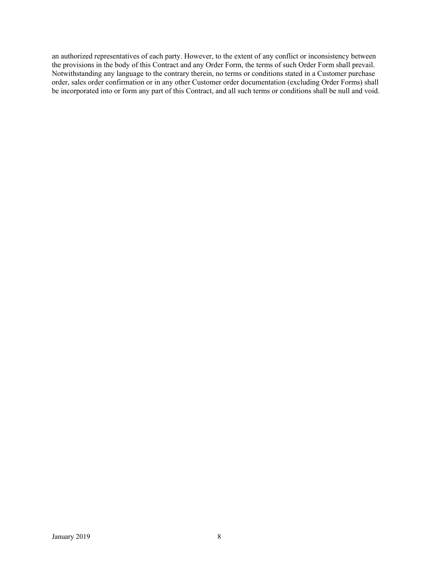an authorized representatives of each party. However, to the extent of any conflict or inconsistency between the provisions in the body of this Contract and any Order Form, the terms of such Order Form shall prevail. Notwithstanding any language to the contrary therein, no terms or conditions stated in a Customer purchase order, sales order confirmation or in any other Customer order documentation (excluding Order Forms) shall be incorporated into or form any part of this Contract, and all such terms or conditions shall be null and void.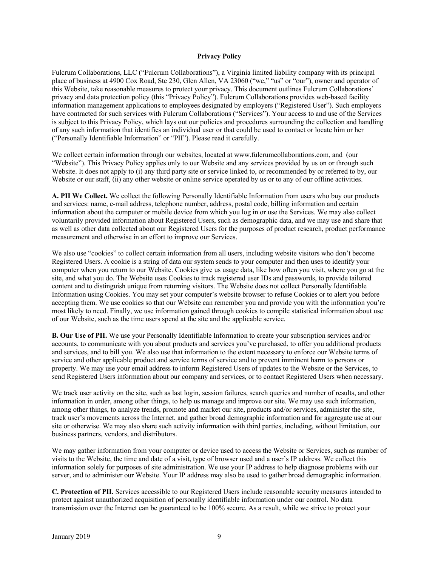#### **Privacy Policy**

Fulcrum Collaborations, LLC ("Fulcrum Collaborations"), a Virginia limited liability company with its principal place of business at 4900 Cox Road, Ste 230, Glen Allen, VA 23060 ("we," "us" or "our"), owner and operator of this Website, take reasonable measures to protect your privacy. This document outlines Fulcrum Collaborations' privacy and data protection policy (this "Privacy Policy"). Fulcrum Collaborations provides web-based facility information management applications to employees designated by employers ("Registered User"). Such employers have contracted for such services with Fulcrum Collaborations ("Services"). Your access to and use of the Services is subject to this Privacy Policy, which lays out our policies and procedures surrounding the collection and handling of any such information that identifies an individual user or that could be used to contact or locate him or her ("Personally Identifiable Information" or "PII"). Please read it carefully.

We collect certain information through our websites, located at www.fulcrumcollaborations.com, and (our "Website"). This Privacy Policy applies only to our Website and any services provided by us on or through such Website. It does not apply to (i) any third party site or service linked to, or recommended by or referred to by, our Website or our staff, (ii) any other website or online service operated by us or to any of our offline activities.

**A. PII We Collect.** We collect the following Personally Identifiable Information from users who buy our products and services: name, e-mail address, telephone number, address, postal code, billing information and certain information about the computer or mobile device from which you log in or use the Services. We may also collect voluntarily provided information about Registered Users, such as demographic data, and we may use and share that as well as other data collected about our Registered Users for the purposes of product research, product performance measurement and otherwise in an effort to improve our Services.

We also use "cookies" to collect certain information from all users, including website visitors who don't become Registered Users. A cookie is a string of data our system sends to your computer and then uses to identify your computer when you return to our Website. Cookies give us usage data, like how often you visit, where you go at the site, and what you do. The Website uses Cookies to track registered user IDs and passwords, to provide tailored content and to distinguish unique from returning visitors. The Website does not collect Personally Identifiable Information using Cookies. You may set your computer's website browser to refuse Cookies or to alert you before accepting them. We use cookies so that our Website can remember you and provide you with the information you're most likely to need. Finally, we use information gained through cookies to compile statistical information about use of our Website, such as the time users spend at the site and the applicable service.

**B. Our Use of PII.** We use your Personally Identifiable Information to create your subscription services and/or accounts, to communicate with you about products and services you've purchased, to offer you additional products and services, and to bill you. We also use that information to the extent necessary to enforce our Website terms of service and other applicable product and service terms of service and to prevent imminent harm to persons or property. We may use your email address to inform Registered Users of updates to the Website or the Services, to send Registered Users information about our company and services, or to contact Registered Users when necessary.

We track user activity on the site, such as last login, session failures, search queries and number of results, and other information in order, among other things, to help us manage and improve our site. We may use such information, among other things, to analyze trends, promote and market our site, products and/or services, administer the site, track user's movements across the Internet, and gather broad demographic information and for aggregate use at our site or otherwise. We may also share such activity information with third parties, including, without limitation, our business partners, vendors, and distributors.

We may gather information from your computer or device used to access the Website or Services, such as number of visits to the Website, the time and date of a visit, type of browser used and a user's IP address. We collect this information solely for purposes of site administration. We use your IP address to help diagnose problems with our server, and to administer our Website. Your IP address may also be used to gather broad demographic information.

**C. Protection of PII.** Services accessible to our Registered Users include reasonable security measures intended to protect against unauthorized acquisition of personally identifiable information under our control. No data transmission over the Internet can be guaranteed to be 100% secure. As a result, while we strive to protect your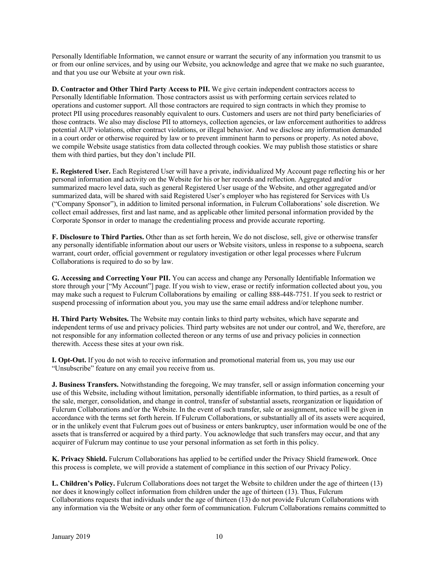Personally Identifiable Information, we cannot ensure or warrant the security of any information you transmit to us or from our online services, and by using our Website, you acknowledge and agree that we make no such guarantee, and that you use our Website at your own risk.

**D. Contractor and Other Third Party Access to PII.** We give certain independent contractors access to Personally Identifiable Information. Those contractors assist us with performing certain services related to operations and customer support. All those contractors are required to sign contracts in which they promise to protect PII using procedures reasonably equivalent to ours. Customers and users are not third party beneficiaries of those contracts. We also may disclose PII to attorneys, collection agencies, or law enforcement authorities to address potential AUP violations, other contract violations, or illegal behavior. And we disclose any information demanded in a court order or otherwise required by law or to prevent imminent harm to persons or property. As noted above, we compile Website usage statistics from data collected through cookies. We may publish those statistics or share them with third parties, but they don't include PII.

**E. Registered User.** Each Registered User will have a private, individualized My Account page reflecting his or her personal information and activity on the Website for his or her records and reflection. Aggregated and/or summarized macro level data, such as general Registered User usage of the Website, and other aggregated and/or summarized data, will be shared with said Registered User's employer who has registered for Services with Us ("Company Sponsor"), in addition to limited personal information, in Fulcrum Collaborations' sole discretion. We collect email addresses, first and last name, and as applicable other limited personal information provided by the Corporate Sponsor in order to manage the credentialing process and provide accurate reporting.

**F. Disclosure to Third Parties.** Other than as set forth herein, We do not disclose, sell, give or otherwise transfer any personally identifiable information about our users or Website visitors, unless in response to a subpoena, search warrant, court order, official government or regulatory investigation or other legal processes where Fulcrum Collaborations is required to do so by law.

**G. Accessing and Correcting Your PII.** You can access and change any Personally Identifiable Information we store through your ["My Account"] page. If you wish to view, erase or rectify information collected about you, you may make such a request to Fulcrum Collaborations by emailing or calling 888-448-7751. If you seek to restrict or suspend processing of information about you, you may use the same email address and/or telephone number.

**H. Third Party Websites.** The Website may contain links to third party websites, which have separate and independent terms of use and privacy policies. Third party websites are not under our control, and We, therefore, are not responsible for any information collected thereon or any terms of use and privacy policies in connection therewith. Access these sites at your own risk.

**I. Opt-Out.** If you do not wish to receive information and promotional material from us, you may use our "Unsubscribe" feature on any email you receive from us.

**J. Business Transfers.** Notwithstanding the foregoing, We may transfer, sell or assign information concerning your use of this Website, including without limitation, personally identifiable information, to third parties, as a result of the sale, merger, consolidation, and change in control, transfer of substantial assets, reorganization or liquidation of Fulcrum Collaborations and/or the Website. In the event of such transfer, sale or assignment, notice will be given in accordance with the terms set forth herein. If Fulcrum Collaborations, or substantially all of its assets were acquired, or in the unlikely event that Fulcrum goes out of business or enters bankruptcy, user information would be one of the assets that is transferred or acquired by a third party. You acknowledge that such transfers may occur, and that any acquirer of Fulcrum may continue to use your personal information as set forth in this policy.

**K. Privacy Shield.** Fulcrum Collaborations has applied to be certified under the Privacy Shield framework. Once this process is complete, we will provide a statement of compliance in this section of our Privacy Policy.

**L. Children's Policy.** Fulcrum Collaborations does not target the Website to children under the age of thirteen (13) nor does it knowingly collect information from children under the age of thirteen (13). Thus, Fulcrum Collaborations requests that individuals under the age of thirteen (13) do not provide Fulcrum Collaborations with any information via the Website or any other form of communication. Fulcrum Collaborations remains committed to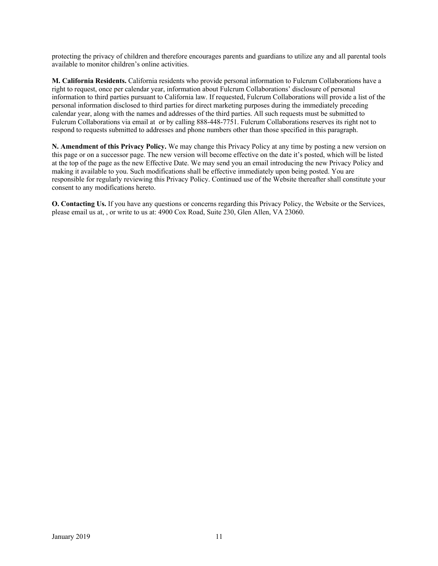protecting the privacy of children and therefore encourages parents and guardians to utilize any and all parental tools available to monitor children's online activities.

**M. California Residents.** California residents who provide personal information to Fulcrum Collaborations have a right to request, once per calendar year, information about Fulcrum Collaborations' disclosure of personal information to third parties pursuant to California law. If requested, Fulcrum Collaborations will provide a list of the personal information disclosed to third parties for direct marketing purposes during the immediately preceding calendar year, along with the names and addresses of the third parties. All such requests must be submitted to Fulcrum Collaborations via email at or by calling 888-448-7751. Fulcrum Collaborations reserves its right not to respond to requests submitted to addresses and phone numbers other than those specified in this paragraph.

**N. Amendment of this Privacy Policy.** We may change this Privacy Policy at any time by posting a new version on this page or on a successor page. The new version will become effective on the date it's posted, which will be listed at the top of the page as the new Effective Date. We may send you an email introducing the new Privacy Policy and making it available to you. Such modifications shall be effective immediately upon being posted. You are responsible for regularly reviewing this Privacy Policy. Continued use of the Website thereafter shall constitute your consent to any modifications hereto.

**O. Contacting Us.** If you have any questions or concerns regarding this Privacy Policy, the Website or the Services, please email us at, , or write to us at: 4900 Cox Road, Suite 230, Glen Allen, VA 23060.